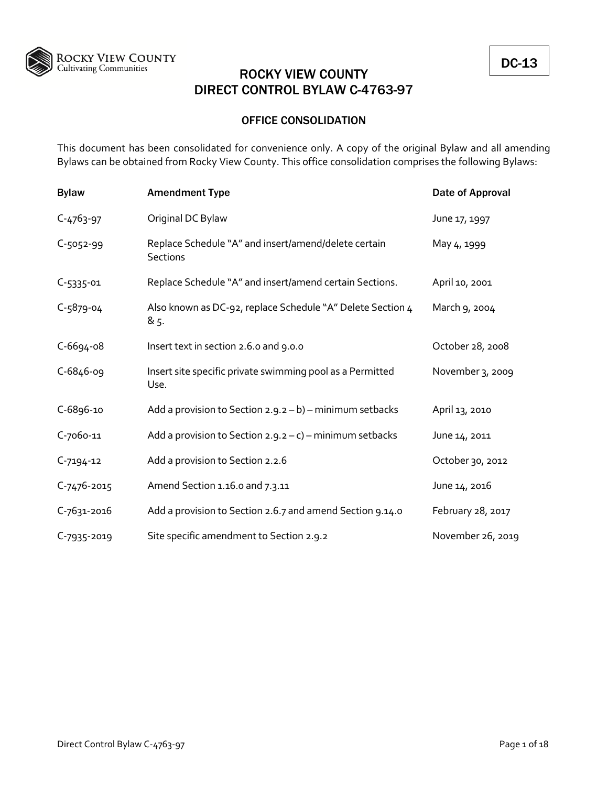

## OFFICE CONSOLIDATION

This document has been consolidated for convenience only. A copy of the original Bylaw and all amending Bylaws can be obtained from Rocky View County. This office consolidation comprises the following Bylaws:

| <b>Bylaw</b>      | <b>Amendment Type</b>                                                   | Date of Approval  |
|-------------------|-------------------------------------------------------------------------|-------------------|
| $C - 4763 - 97$   | Original DC Bylaw                                                       | June 17, 1997     |
| $C-5052-99$       | Replace Schedule "A" and insert/amend/delete certain<br><b>Sections</b> | May 4, 1999       |
| $C-5335-01$       | Replace Schedule "A" and insert/amend certain Sections.                 | April 10, 2001    |
| $C - 5879 - 04$   | Also known as DC-92, replace Schedule "A" Delete Section 4<br>& 5.      | March 9, 2004     |
| $C-6694-08$       | Insert text in section 2.6.0 and 9.0.0                                  | October 28, 2008  |
| $C - 6846 - 09$   | Insert site specific private swimming pool as a Permitted<br>Use.       | November 3, 2009  |
| C-6896-10         | Add a provision to Section $2.9.2 - b$ ) – minimum setbacks             | April 13, 2010    |
| C-7060-11         | Add a provision to Section $2.9.2 - c$ ) – minimum setbacks             | June 14, 2011     |
| $C-7194-12$       | Add a provision to Section 2.2.6                                        | October 30, 2012  |
| $C - 7476 - 2015$ | Amend Section 1.16.0 and 7.3.11                                         | June 14, 2016     |
| C-7631-2016       | Add a provision to Section 2.6.7 and amend Section 9.14.0               | February 28, 2017 |
| $C - 7935 - 2019$ | Site specific amendment to Section 2.9.2                                | November 26, 2019 |

DC-13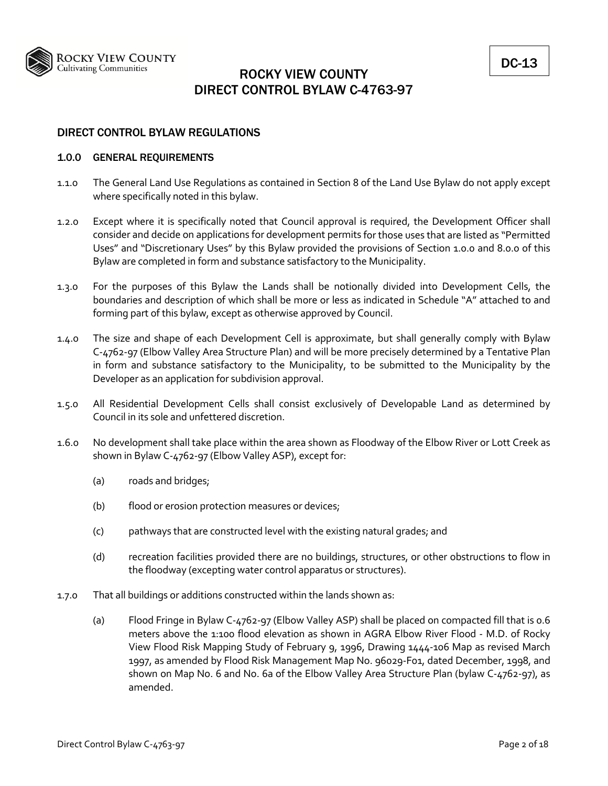

## DIRECT CONTROL BYLAW REGULATIONS

## 1.0.0 GENERAL REQUIREMENTS

- 1.1.0 The General Land Use Regulations as contained in Section 8 of the Land Use Bylaw do not apply except where specifically noted in this bylaw.
- 1.2.0 Except where it is specifically noted that Council approval is required, the Development Officer shall consider and decide on applications for development permits for those uses that are listed as "Permitted Uses" and "Discretionary Uses" by this Bylaw provided the provisions of Section 1.0.0 and 8.0.0 of this Bylaw are completed in form and substance satisfactory to the Municipality.
- 1.3.0 For the purposes of this Bylaw the Lands shall be notionally divided into Development Cells, the boundaries and description of which shall be more or less as indicated in Schedule "A" attached to and forming part of this bylaw, except as otherwise approved by Council.
- 1.4.0 The size and shape of each Development Cell is approximate, but shall generally comply with Bylaw C‐4762‐97 (Elbow Valley Area Structure Plan) and will be more precisely determined by a Tentative Plan in form and substance satisfactory to the Municipality, to be submitted to the Municipality by the Developer as an application for subdivision approval.
- 1.5.0 All Residential Development Cells shall consist exclusively of Developable Land as determined by Council in its sole and unfettered discretion.
- 1.6.0 No development shall take place within the area shown as Floodway of the Elbow River or Lott Creek as shown in Bylaw C‐4762‐97 (Elbow Valley ASP), except for:
	- (a) roads and bridges;
	- (b) flood or erosion protection measures or devices;
	- (c) pathways that are constructed level with the existing natural grades; and
	- (d) recreation facilities provided there are no buildings, structures, or other obstructions to flow in the floodway (excepting water control apparatus or structures).
- 1.7.0 That all buildings or additions constructed within the lands shown as:
	- (a) Flood Fringe in Bylaw C‐4762‐97 (Elbow Valley ASP) shall be placed on compacted fill that is 0.6 meters above the 1:100 flood elevation as shown in AGRA Elbow River Flood - M.D. of Rocky View Flood Risk Mapping Study of February 9, 1996, Drawing 1444‐106 Map as revised March 1997, as amended by Flood Risk Management Map No. 96029‐F01, dated December, 1998, and shown on Map No. 6 and No. 6a of the Elbow Valley Area Structure Plan (bylaw C‐4762‐97), as amended.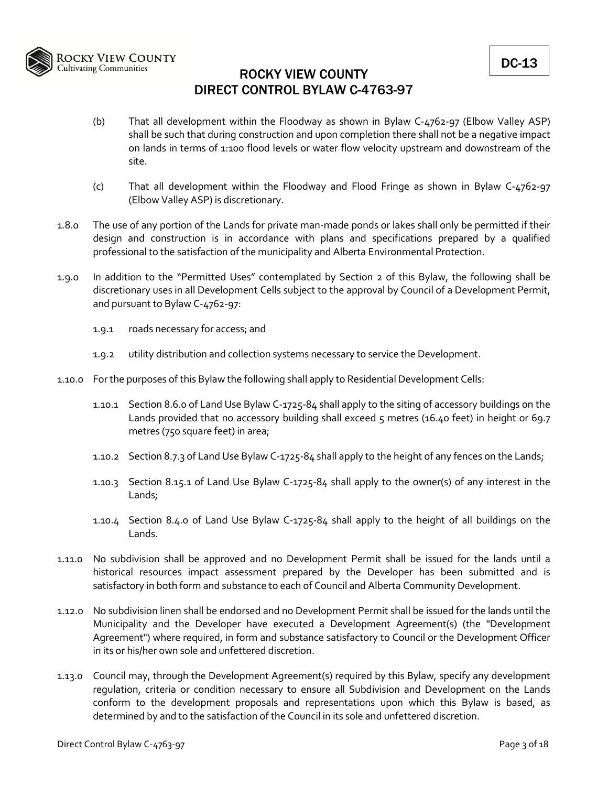

- (b) That all development within the Floodway as shown in Bylaw C‐4762‐97 (Elbow Valley ASP) shall be such that during construction and upon completion there shall not be a negative impact on lands in terms of 1:100 flood levels or water flow velocity upstream and downstream of the site.
- (c) That all development within the Floodway and Flood Fringe as shown in Bylaw C‐4762‐97 (Elbow Valley ASP) is discretionary.
- 1.8.0 The use of any portion of the Lands for private man‐made ponds or lakes shall only be permitted if their design and construction is in accordance with plans and specifications prepared by a qualified professional to the satisfaction of the municipality and Alberta Environmental Protection.
- 1.9.0 In addition to the "Permitted Uses" contemplated by Section 2 of this Bylaw, the following shall be discretionary uses in all Development Cells subject to the approval by Council of a Development Permit, and pursuant to Bylaw C‐4762‐97:
	- 1.9.1 roads necessary for access; and
	- 1.9.2 utility distribution and collection systems necessary to service the Development.
- 1.10.0 For the purposes of this Bylaw the following shall apply to Residential Development Cells:
	- 1.10.1 Section 8.6.0 of Land Use Bylaw C‐1725‐84 shall apply to the siting of accessory buildings on the Lands provided that no accessory building shall exceed 5 metres (16.40 feet) in height or 69.7 metres (750 square feet) in area;
	- 1.10.2 Section 8.7.3 of Land Use Bylaw C‐1725‐84 shall apply to the height of any fences on the Lands;
	- 1.10.3 Section 8.15.1 of Land Use Bylaw C‐1725‐84 shall apply to the owner(s) of any interest in the Lands;
	- 1.10.4 Section 8.4.0 of Land Use Bylaw C‐1725‐84 shall apply to the height of all buildings on the Lands.
- 1.11.0 No subdivision shall be approved and no Development Permit shall be issued for the lands until a historical resources impact assessment prepared by the Developer has been submitted and is satisfactory in both form and substance to each of Council and Alberta Community Development.
- 1.12.0 No subdivision linen shall be endorsed and no Development Permit shall be issued for the lands until the Municipality and the Developer have executed a Development Agreement(s) (the "Development Agreement") where required, in form and substance satisfactory to Council or the Development Officer in its or his/her own sole and unfettered discretion.
- 1.13.0 Council may, through the Development Agreement(s) required by this Bylaw, specify any development regulation, criteria or condition necessary to ensure all Subdivision and Development on the Lands conform to the development proposals and representations upon which this Bylaw is based, as determined by and to the satisfaction of the Council in its sole and unfettered discretion.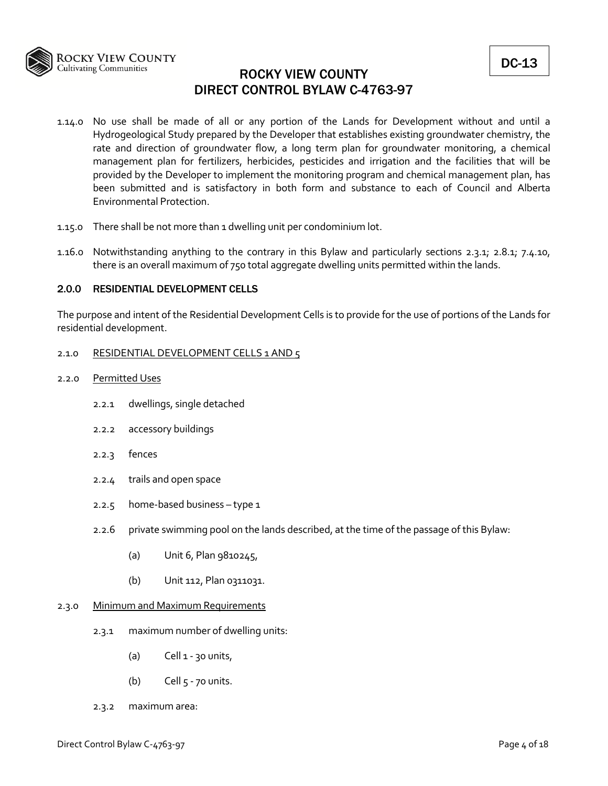

- 1.14.0 No use shall be made of all or any portion of the Lands for Development without and until a Hydrogeological Study prepared by the Developer that establishes existing groundwater chemistry, the rate and direction of groundwater flow, a long term plan for groundwater monitoring, a chemical management plan for fertilizers, herbicides, pesticides and irrigation and the facilities that will be provided by the Developer to implement the monitoring program and chemical management plan, has been submitted and is satisfactory in both form and substance to each of Council and Alberta Environmental Protection.
- 1.15.0 There shall be not more than 1 dwelling unit per condominium lot.
- 1.16.0 Notwithstanding anything to the contrary in this Bylaw and particularly sections 2.3.1; 2.8.1; 7.4.10, there is an overall maximum of 750 total aggregate dwelling units permitted within the lands.

## 2.0.0 RESIDENTIAL DEVELOPMENT CELLS

The purpose and intent of the Residential Development Cells is to provide for the use of portions of the Lands for residential development.

## 2.1.0 RESIDENTIAL DEVELOPMENT CELLS 1 AND 5

- 2.2.0 Permitted Uses
	- 2.2.1 dwellings, single detached
	- 2.2.2 accessory buildings
	- 2.2.3 fences
	- 2.2.4 trails and open space
	- 2.2.5 home‐based business type 1
	- 2.2.6 private swimming pool on the lands described, at the time of the passage of this Bylaw:
		- (a) Unit 6, Plan 9810245,
		- (b) Unit 112, Plan 0311031.

## 2.3.0 Minimum and Maximum Requirements

- 2.3.1 maximum number of dwelling units:
	- (a) Cell  $1 30$  units,
	- (b) Cell  $5 70$  units.
- 2.3.2 maximum area: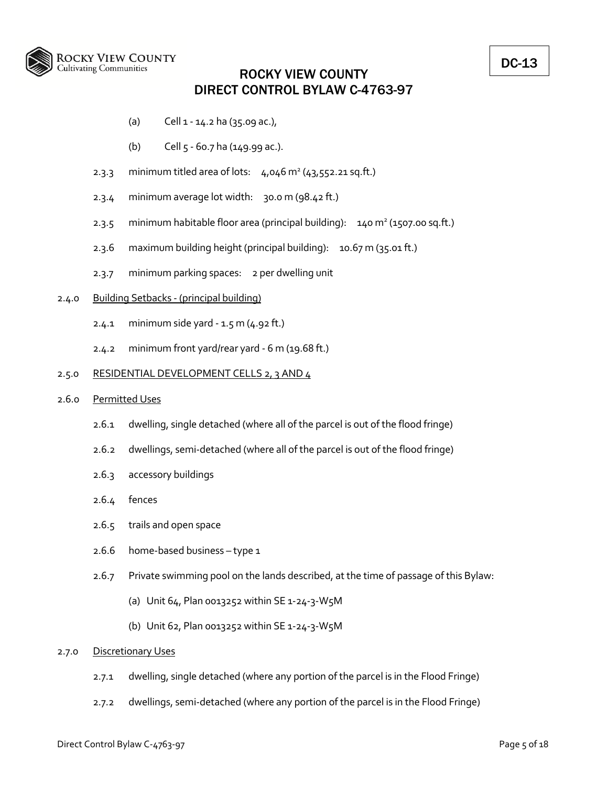

- (a) Cell 1 ‐ 14.2 ha (35.09 ac.),
- (b) Cell 5 ‐ 60.7 ha (149.99 ac.).
- 2.3.3 minimum titled area of lots:  $4,046$  m<sup>2</sup> (43,552.21 sq.ft.)
- 2.3.4 minimum average lot width: 30.0 m (98.42 ft.)
- 2.3.5 minimum habitable floor area (principal building):  $140 \text{ m}^2$  (1507.00 sq.ft.)
- 2.3.6 maximum building height (principal building): 10.67 m (35.01 ft.)
- 2.3.7 minimum parking spaces: 2 per dwelling unit

## 2.4.0 Building Setbacks ‐ (principal building)

- 2.4.1 minimum side yard ‐ 1.5 m (4.92 ft.)
- 2.4.2 minimum front yard/rear yard ‐ 6 m (19.68 ft.)

### 2.5.0 RESIDENTIAL DEVELOPMENT CELLS 2, 3 AND 4

## 2.6.0 Permitted Uses

- 2.6.1 dwelling, single detached (where all of the parcel is out of the flood fringe)
- 2.6.2 dwellings, semi‐detached (where all of the parcel is out of the flood fringe)
- 2.6.3 accessory buildings
- 2.6.4 fences
- 2.6.5 trails and open space
- 2.6.6 home‐based business type 1
- 2.6.7 Private swimming pool on the lands described, at the time of passage of this Bylaw:
	- (a) Unit 64, Plan 0013252 within SE 1‐24‐3‐W5M
	- (b) Unit 62, Plan 0013252 within SE 1‐24‐3‐W5M

#### 2.7.0 Discretionary Uses

- 2.7.1 dwelling, single detached (where any portion of the parcel is in the Flood Fringe)
- 2.7.2 dwellings, semi‐detached (where any portion of the parcel is in the Flood Fringe)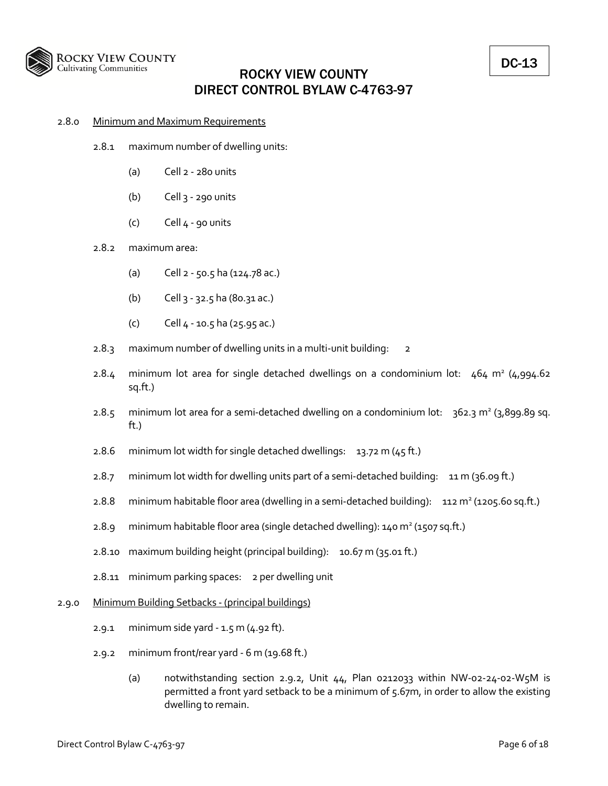

### 2.8.0 Minimum and Maximum Requirements

- 2.8.1 maximum number of dwelling units:
	- (a) Cell 2 ‐ 280 units
	- (b) Cell 3 ‐ 290 units
	- $(c)$  Cell  $4 90$  units

### 2.8.2 maximum area:

- (a) Cell 2 ‐ 50.5 ha (124.78 ac.)
- (b) Cell 3 ‐ 32.5 ha (80.31 ac.)
- (c) Cell 4 ‐ 10.5 ha (25.95 ac.)
- 2.8.3 maximum number of dwelling units in a multi-unit building: 2
- 2.8.4 minimum lot area for single detached dwellings on a condominium lot:  $464 \text{ m}^2$  (4,994.62) sq.ft.)
- 2.8.5 minimum lot area for a semi-detached dwelling on a condominium lot: 362.3 m<sup>2</sup> (3,899.89 sq. ft.)
- 2.8.6 minimum lot width for single detached dwellings:  $13.72$  m (45 ft.)
- 2.8.7 minimum lot width for dwelling units part of a semi‐detached building: 11 m (36.09 ft.)
- 2.8.8 minimum habitable floor area (dwelling in a semi-detached building): 112 m<sup>2</sup> (1205.60 sq.ft.)
- 2.8.9 minimum habitable floor area (single detached dwelling):  $140 \text{ m}^2$  (1507 sq.ft.)
- 2.8.10 maximum building height (principal building): 10.67 m (35.01 ft.)
- 2.8.11 minimum parking spaces: 2 per dwelling unit

#### 2.9.0 Minimum Building Setbacks ‐ (principal buildings)

- 2.9.1 minimum side yard ‐ 1.5 m (4.92 ft).
- 2.9.2 minimum front/rear yard ‐ 6 m (19.68 ft.)
	- (a) notwithstanding section 2.9.2, Unit 44, Plan 0212033 within NW‐02‐24‐02‐W5M is permitted a front yard setback to be a minimum of 5.67m, in order to allow the existing dwelling to remain.

DC-13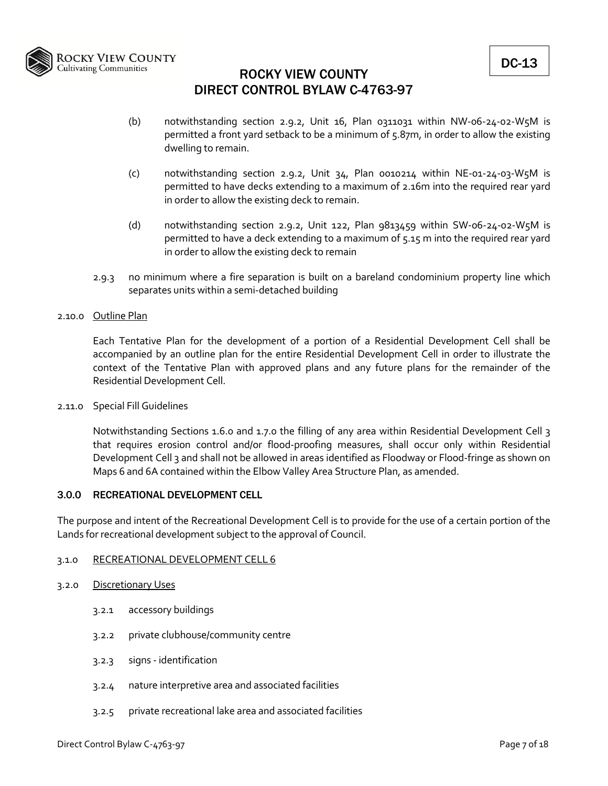

- (b) notwithstanding section 2.9.2, Unit 16, Plan 0311031 within NW‐06‐24‐02‐W5M is permitted a front yard setback to be a minimum of 5.87m, in order to allow the existing dwelling to remain.
- (c) notwithstanding section 2.9.2, Unit 34, Plan 0010214 within NE‐01‐24‐03‐W5M is permitted to have decks extending to a maximum of 2.16m into the required rear yard in order to allow the existing deck to remain.
- (d) notwithstanding section 2.9.2, Unit 122, Plan 9813459 within SW‐06‐24‐02‐W5M is permitted to have a deck extending to a maximum of 5.15 m into the required rear yard in order to allow the existing deck to remain
- 2.9.3 no minimum where a fire separation is built on a bareland condominium property line which separates units within a semi‐detached building
- 2.10.0 Outline Plan

Each Tentative Plan for the development of a portion of a Residential Development Cell shall be accompanied by an outline plan for the entire Residential Development Cell in order to illustrate the context of the Tentative Plan with approved plans and any future plans for the remainder of the Residential Development Cell.

2.11.0 Special Fill Guidelines

Notwithstanding Sections 1.6.0 and 1.7.0 the filling of any area within Residential Development Cell 3 that requires erosion control and/or flood‐proofing measures, shall occur only within Residential Development Cell 3 and shall not be allowed in areas identified as Floodway or Flood-fringe as shown on Maps 6 and 6A contained within the Elbow Valley Area Structure Plan, as amended.

## 3.0.0 RECREATIONAL DEVELOPMENT CELL

The purpose and intent of the Recreational Development Cell is to provide for the use of a certain portion of the Lands for recreational development subject to the approval of Council.

## 3.1.0 RECREATIONAL DEVELOPMENT CELL 6

- 3.2.0 Discretionary Uses
	- 3.2.1 accessory buildings
	- 3.2.2 private clubhouse/community centre
	- 3.2.3 signs ‐ identification
	- 3.2.4 nature interpretive area and associated facilities
	- 3.2.5 private recreational lake area and associated facilities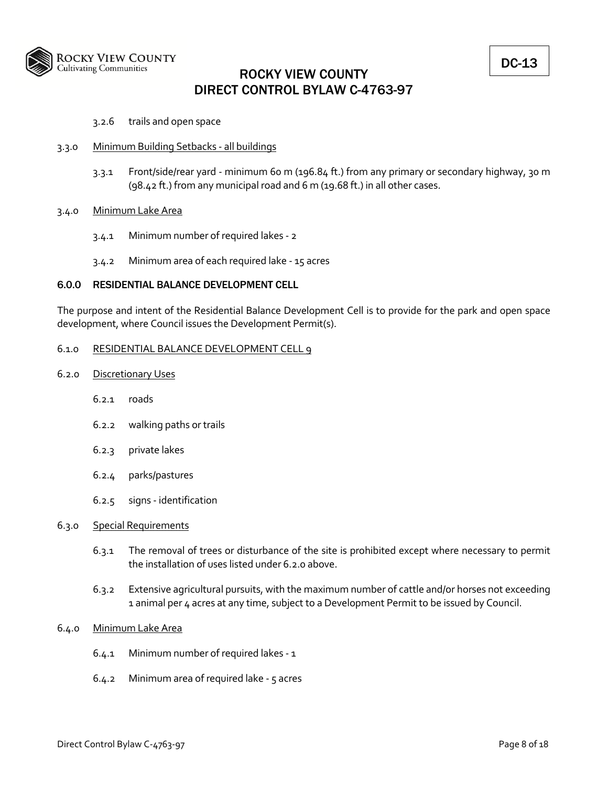

## 3.2.6 trails and open space

## 3.3.0 Minimum Building Setbacks ‐ all buildings

3.3.1 Front/side/rear yard ‐ minimum 60 m (196.84 ft.) from any primary or secondary highway, 30 m (98.42 ft.) from any municipal road and 6 m (19.68 ft.) in all other cases.

## 3.4.0 Minimum Lake Area

- 3.4.1 Minimum number of required lakes ‐ 2
- 3.4.2 Minimum area of each required lake ‐ 15 acres

## 6.0.0 RESIDENTIAL BALANCE DEVELOPMENT CELL

The purpose and intent of the Residential Balance Development Cell is to provide for the park and open space development, where Council issues the Development Permit(s).

## 6.1.0 RESIDENTIAL BALANCE DEVELOPMENT CELL 9

- 6.2.0 Discretionary Uses
	- 6.2.1 roads
	- 6.2.2 walking paths or trails
	- 6.2.3 private lakes
	- 6.2.4 parks/pastures
	- 6.2.5 signs ‐ identification

## 6.3.0 Special Requirements

- 6.3.1 The removal of trees or disturbance of the site is prohibited except where necessary to permit the installation of uses listed under 6.2.0 above.
- 6.3.2 Extensive agricultural pursuits, with the maximum number of cattle and/or horses not exceeding 1 animal per 4 acres at any time, subject to a Development Permit to be issued by Council.

## 6.4.0 Minimum Lake Area

- 6.4.1 Minimum number of required lakes ‐ 1
- 6.4.2 Minimum area of required lake ‐ 5 acres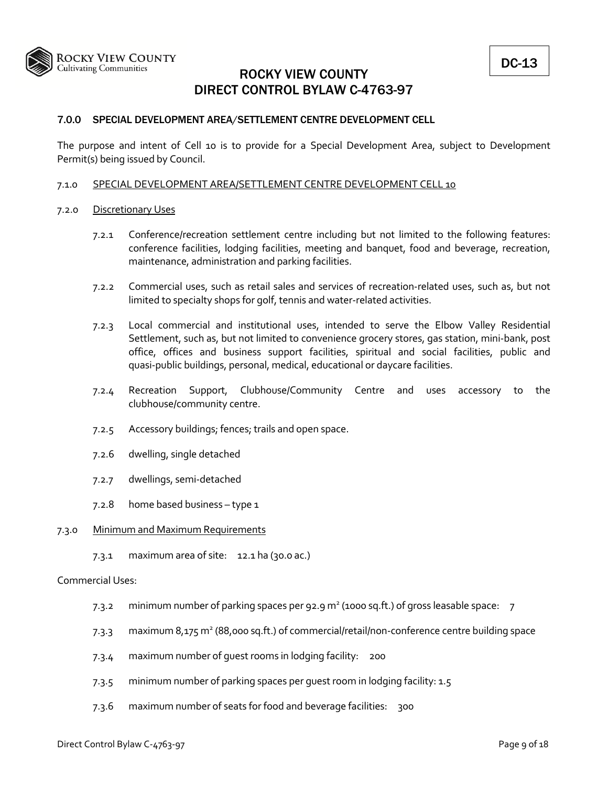

## 7.0.0 SPECIAL DEVELOPMENT AREA/SETTLEMENT CENTRE DEVELOPMENT CELL

The purpose and intent of Cell 10 is to provide for a Special Development Area, subject to Development Permit(s) being issued by Council.

## 7.1.0 SPECIAL DEVELOPMENT AREA/SETTLEMENT CENTRE DEVELOPMENT CELL 10

## 7.2.0 Discretionary Uses

- 7.2.1 Conference/recreation settlement centre including but not limited to the following features: conference facilities, lodging facilities, meeting and banquet, food and beverage, recreation, maintenance, administration and parking facilities.
- 7.2.2 Commercial uses, such as retail sales and services of recreation‐related uses, such as, but not limited to specialty shops for golf, tennis and water‐related activities.
- 7.2.3 Local commercial and institutional uses, intended to serve the Elbow Valley Residential Settlement, such as, but not limited to convenience grocery stores, gas station, mini‐bank, post office, offices and business support facilities, spiritual and social facilities, public and quasi‐public buildings, personal, medical, educational or daycare facilities.
- 7.2.4 Recreation Support, Clubhouse/Community Centre and uses accessory to the clubhouse/community centre.
- 7.2.5 Accessory buildings; fences; trails and open space.
- 7.2.6 dwelling, single detached
- 7.2.7 dwellings, semi‐detached
- 7.2.8 home based business type 1

## 7.3.0 Minimum and Maximum Requirements

7.3.1 maximum area of site: 12.1 ha (30.0 ac.)

## Commercial Uses:

- 7.3.2 minimum number of parking spaces per 92.9  $m<sup>2</sup>$  (1000 sq.ft.) of gross leasable space: 7
- 7.3.3 maximum 8,175 m2 (88,000 sq.ft.) of commercial/retail/non‐conference centre building space
- 7.3.4 maximum number of guest rooms in lodging facility: 200
- 7.3.5 minimum number of parking spaces per guest room in lodging facility: 1.5
- 7.3.6 maximum number of seats for food and beverage facilities: 300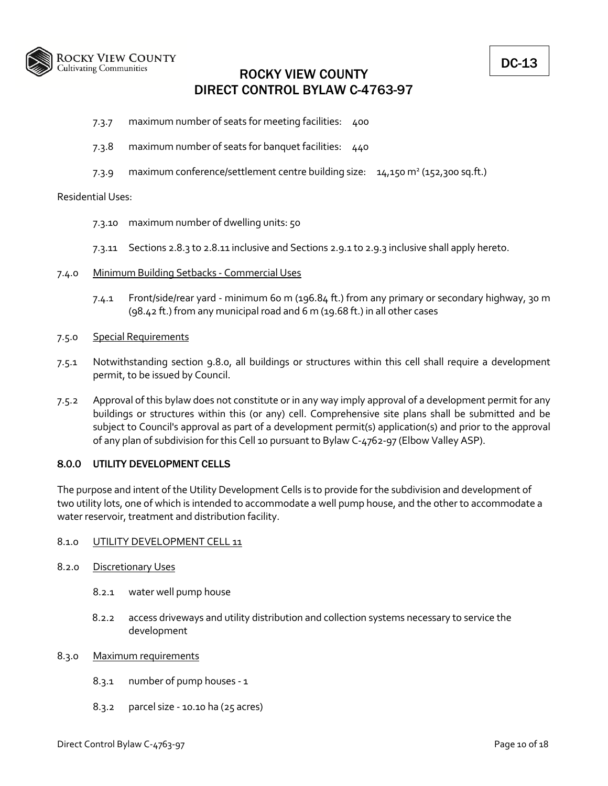

- 7.3.7 maximum number of seats for meeting facilities: 400
- 7.3.8 maximum number of seats for banquet facilities: 440
- 7.3.9 maximum conference/settlement centre building size:  $14,150 \text{ m}^2$  (152,300 sq.ft.)

## Residential Uses:

- 7.3.10 maximum number of dwelling units: 50
- 7.3.11 Sections 2.8.3 to 2.8.11 inclusive and Sections 2.9.1 to 2.9.3 inclusive shall apply hereto.
- 7.4.0 Minimum Building Setbacks ‐ Commercial Uses
	- 7.4.1 Front/side/rear yard ‐ minimum 60 m (196.84 ft.) from any primary or secondary highway, 30 m (98.42 ft.) from any municipal road and 6 m (19.68 ft.) in all other cases

## 7.5.0 Special Requirements

- 7.5.1 Notwithstanding section 9.8.0, all buildings or structures within this cell shall require a development permit, to be issued by Council.
- 7.5.2 Approval of this bylaw does not constitute or in any way imply approval of a development permit for any buildings or structures within this (or any) cell. Comprehensive site plans shall be submitted and be subject to Council's approval as part of a development permit(s) application(s) and prior to the approval of any plan of subdivision for this Cell 10 pursuant to Bylaw C‐4762‐97 (Elbow Valley ASP).

## 8.0.0 UTILITY DEVELOPMENT CELLS

The purpose and intent of the Utility Development Cells is to provide for the subdivision and development of two utility lots, one of which is intended to accommodate a well pump house, and the other to accommodate a water reservoir, treatment and distribution facility.

## 8.1.0 UTILITY DEVELOPMENT CELL 11

- 8.2.0 Discretionary Uses
	- 8.2.1 water well pump house
	- 8.2.2 access driveways and utility distribution and collection systems necessary to service the development

## 8.3.0 Maximum requirements

- 8.3.1 number of pump houses ‐ 1
- 8.3.2 parcel size ‐ 10.10 ha (25 acres)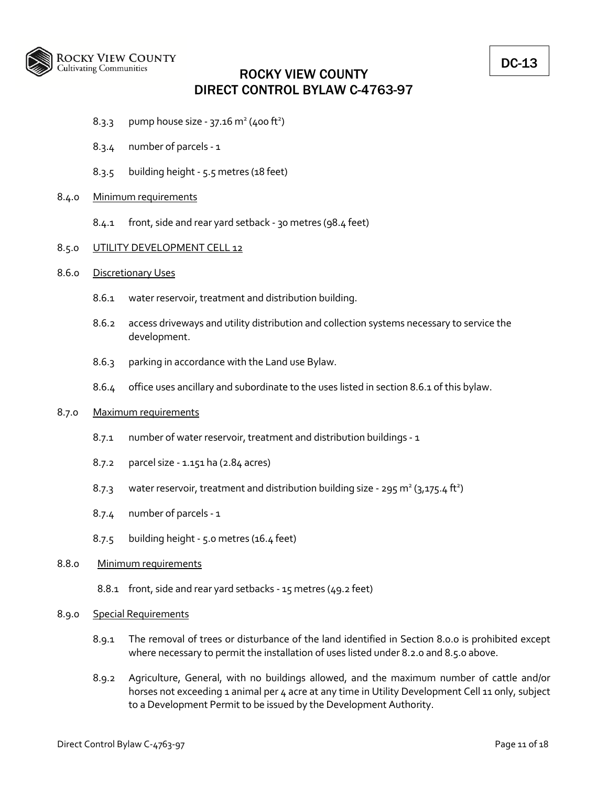

- 8.3.3 pump house size 37.16 m<sup>2</sup> (400 ft<sup>2</sup>)
- 8.3.4 number of parcels ‐ 1
- 8.3.5 building height ‐ 5.5 metres (18 feet)

## 8.4.0 Minimum requirements

8.4.1 front, side and rear yard setback ‐ 30 metres (98.4 feet)

### 8.5.0 UTILITY DEVELOPMENT CELL 12

- 8.6.0 Discretionary Uses
	- 8.6.1 water reservoir, treatment and distribution building.
	- 8.6.2 access driveways and utility distribution and collection systems necessary to service the development.
	- 8.6.3 parking in accordance with the Land use Bylaw.
	- 8.6.4 office uses ancillary and subordinate to the uses listed in section 8.6.1 of this bylaw.

#### 8.7.0 Maximum requirements

- 8.7.1 number of water reservoir, treatment and distribution buildings ‐ 1
- 8.7.2 parcel size ‐ 1.151 ha (2.84 acres)
- 8.7.3 water reservoir, treatment and distribution building size 295 m<sup>2</sup> (3,175.4 ft<sup>2</sup>)
- 8.7.4 number of parcels ‐ 1
- 8.7.5 building height ‐ 5.0 metres (16.4 feet)

## 8.8.0 Minimum requirements

8.8.1 front, side and rear yard setbacks ‐ 15 metres (49.2 feet)

#### 8.9.0 Special Requirements

- 8.9.1 The removal of trees or disturbance of the land identified in Section 8.0.0 is prohibited except where necessary to permit the installation of uses listed under 8.2.0 and 8.5.0 above.
- 8.9.2 Agriculture, General, with no buildings allowed, and the maximum number of cattle and/or horses not exceeding 1 animal per 4 acre at any time in Utility Development Cell 11 only, subject to a Development Permit to be issued by the Development Authority.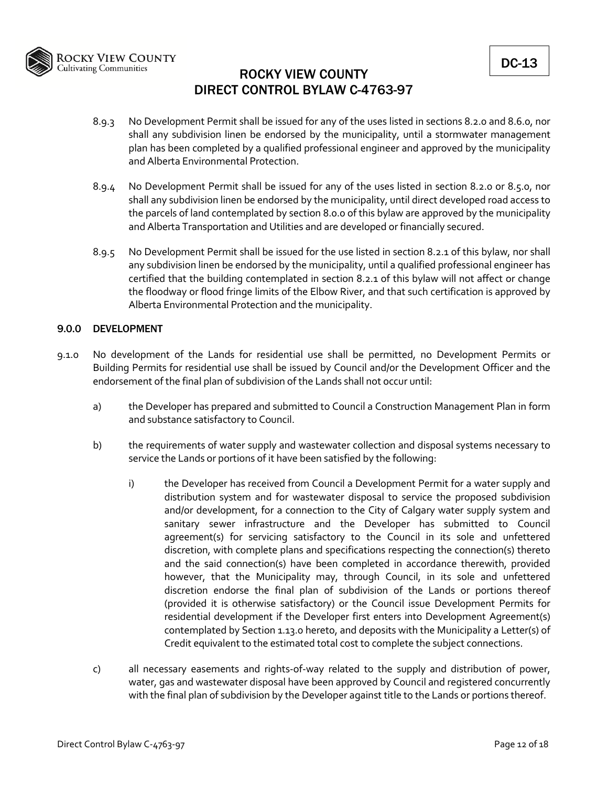

- 8.9.3 No Development Permit shall be issued for any of the uses listed in sections 8.2.0 and 8.6.0, nor shall any subdivision linen be endorsed by the municipality, until a stormwater management plan has been completed by a qualified professional engineer and approved by the municipality and Alberta Environmental Protection.
- 8.9.4 No Development Permit shall be issued for any of the uses listed in section 8.2.0 or 8.5.0, nor shall any subdivision linen be endorsed by the municipality, until direct developed road access to the parcels of land contemplated by section 8.0.0 of this bylaw are approved by the municipality and Alberta Transportation and Utilities and are developed or financially secured.
- 8.9.5 No Development Permit shall be issued for the use listed in section 8.2.1 of this bylaw, nor shall any subdivision linen be endorsed by the municipality, until a qualified professional engineer has certified that the building contemplated in section 8.2.1 of this bylaw will not affect or change the floodway or flood fringe limits of the Elbow River, and that such certification is approved by Alberta Environmental Protection and the municipality.

## 9.0.0 DEVELOPMENT

- 9.1.0 No development of the Lands for residential use shall be permitted, no Development Permits or Building Permits for residential use shall be issued by Council and/or the Development Officer and the endorsement of the final plan of subdivision of the Lands shall not occur until:
	- a) the Developer has prepared and submitted to Council a Construction Management Plan in form and substance satisfactory to Council.
	- b) the requirements of water supply and wastewater collection and disposal systems necessary to service the Lands or portions of it have been satisfied by the following:
		- i) the Developer has received from Council a Development Permit for a water supply and distribution system and for wastewater disposal to service the proposed subdivision and/or development, for a connection to the City of Calgary water supply system and sanitary sewer infrastructure and the Developer has submitted to Council agreement(s) for servicing satisfactory to the Council in its sole and unfettered discretion, with complete plans and specifications respecting the connection(s) thereto and the said connection(s) have been completed in accordance therewith, provided however, that the Municipality may, through Council, in its sole and unfettered discretion endorse the final plan of subdivision of the Lands or portions thereof (provided it is otherwise satisfactory) or the Council issue Development Permits for residential development if the Developer first enters into Development Agreement(s) contemplated by Section 1.13.0 hereto, and deposits with the Municipality a Letter(s) of Credit equivalent to the estimated total cost to complete the subject connections.
	- c) all necessary easements and rights-of-way related to the supply and distribution of power, water, gas and wastewater disposal have been approved by Council and registered concurrently with the final plan of subdivision by the Developer against title to the Lands or portions thereof.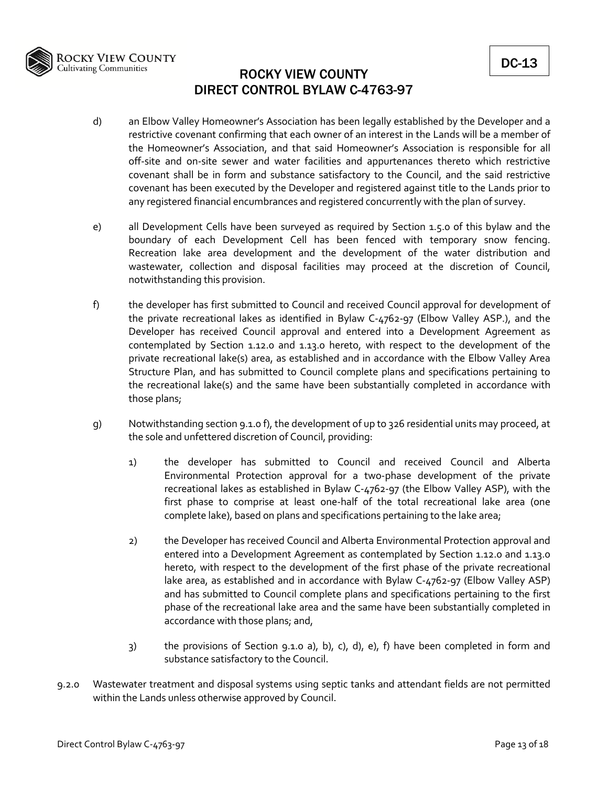

- d) an Elbow Valley Homeowner's Association has been legally established by the Developer and a restrictive covenant confirming that each owner of an interest in the Lands will be a member of the Homeowner's Association, and that said Homeowner's Association is responsible for all off‐site and on‐site sewer and water facilities and appurtenances thereto which restrictive covenant shall be in form and substance satisfactory to the Council, and the said restrictive covenant has been executed by the Developer and registered against title to the Lands prior to any registered financial encumbrances and registered concurrently with the plan of survey.
- e) all Development Cells have been surveyed as required by Section 1.5.0 of this bylaw and the boundary of each Development Cell has been fenced with temporary snow fencing. Recreation lake area development and the development of the water distribution and wastewater, collection and disposal facilities may proceed at the discretion of Council, notwithstanding this provision.
- f) the developer has first submitted to Council and received Council approval for development of the private recreational lakes as identified in Bylaw C‐4762‐97 (Elbow Valley ASP.), and the Developer has received Council approval and entered into a Development Agreement as contemplated by Section 1.12.0 and 1.13.0 hereto, with respect to the development of the private recreational lake(s) area, as established and in accordance with the Elbow Valley Area Structure Plan, and has submitted to Council complete plans and specifications pertaining to the recreational lake(s) and the same have been substantially completed in accordance with those plans;
- g) Notwithstanding section 9.1.0 f), the development of up to 326 residential units may proceed, at the sole and unfettered discretion of Council, providing:
	- 1) the developer has submitted to Council and received Council and Alberta Environmental Protection approval for a two‐phase development of the private recreational lakes as established in Bylaw C‐4762‐97 (the Elbow Valley ASP), with the first phase to comprise at least one-half of the total recreational lake area (one complete lake), based on plans and specifications pertaining to the lake area;
	- 2) the Developer has received Council and Alberta Environmental Protection approval and entered into a Development Agreement as contemplated by Section 1.12.0 and 1.13.0 hereto, with respect to the development of the first phase of the private recreational lake area, as established and in accordance with Bylaw C‐4762‐97 (Elbow Valley ASP) and has submitted to Council complete plans and specifications pertaining to the first phase of the recreational lake area and the same have been substantially completed in accordance with those plans; and,
	- 3) the provisions of Section 9.1.0 a), b), c), d), e), f) have been completed in form and substance satisfactory to the Council.
- 9.2.0 Wastewater treatment and disposal systems using septic tanks and attendant fields are not permitted within the Lands unless otherwise approved by Council.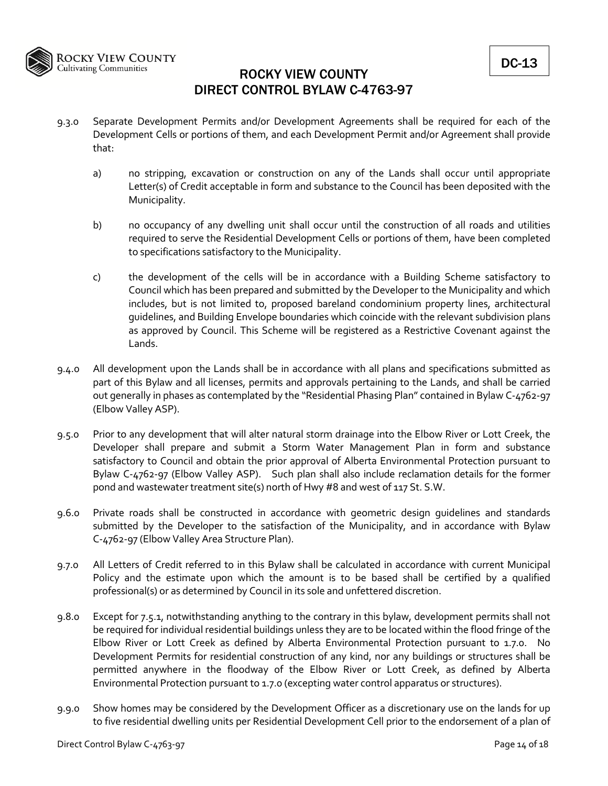

- 9.3.0 Separate Development Permits and/or Development Agreements shall be required for each of the Development Cells or portions of them, and each Development Permit and/or Agreement shall provide that:
	- a) no stripping, excavation or construction on any of the Lands shall occur until appropriate Letter(s) of Credit acceptable in form and substance to the Council has been deposited with the Municipality.
	- b) no occupancy of any dwelling unit shall occur until the construction of all roads and utilities required to serve the Residential Development Cells or portions of them, have been completed to specifications satisfactory to the Municipality.
	- c) the development of the cells will be in accordance with a Building Scheme satisfactory to Council which has been prepared and submitted by the Developer to the Municipality and which includes, but is not limited to, proposed bareland condominium property lines, architectural guidelines, and Building Envelope boundaries which coincide with the relevant subdivision plans as approved by Council. This Scheme will be registered as a Restrictive Covenant against the Lands.
- 9.4.0 All development upon the Lands shall be in accordance with all plans and specifications submitted as part of this Bylaw and all licenses, permits and approvals pertaining to the Lands, and shall be carried out generally in phases as contemplated by the "Residential Phasing Plan" contained in Bylaw C‐4762‐97 (Elbow Valley ASP).
- 9.5.0 Prior to any development that will alter natural storm drainage into the Elbow River or Lott Creek, the Developer shall prepare and submit a Storm Water Management Plan in form and substance satisfactory to Council and obtain the prior approval of Alberta Environmental Protection pursuant to Bylaw C-4762-97 (Elbow Valley ASP). Such plan shall also include reclamation details for the former pond and wastewater treatment site(s) north of Hwy #8 and west of 117 St. S.W.
- 9.6.0 Private roads shall be constructed in accordance with geometric design guidelines and standards submitted by the Developer to the satisfaction of the Municipality, and in accordance with Bylaw C‐4762‐97 (Elbow Valley Area Structure Plan).
- 9.7.0 All Letters of Credit referred to in this Bylaw shall be calculated in accordance with current Municipal Policy and the estimate upon which the amount is to be based shall be certified by a qualified professional(s) or as determined by Council in its sole and unfettered discretion.
- 9.8.0 Except for 7.5.1, notwithstanding anything to the contrary in this bylaw, development permits shall not be required for individual residential buildings unless they are to be located within the flood fringe of the Elbow River or Lott Creek as defined by Alberta Environmental Protection pursuant to 1.7.0. No Development Permits for residential construction of any kind, nor any buildings or structures shall be permitted anywhere in the floodway of the Elbow River or Lott Creek, as defined by Alberta Environmental Protection pursuant to 1.7.0 (excepting water control apparatus or structures).
- 9.9.0 Show homes may be considered by the Development Officer as a discretionary use on the lands for up to five residential dwelling units per Residential Development Cell prior to the endorsement of a plan of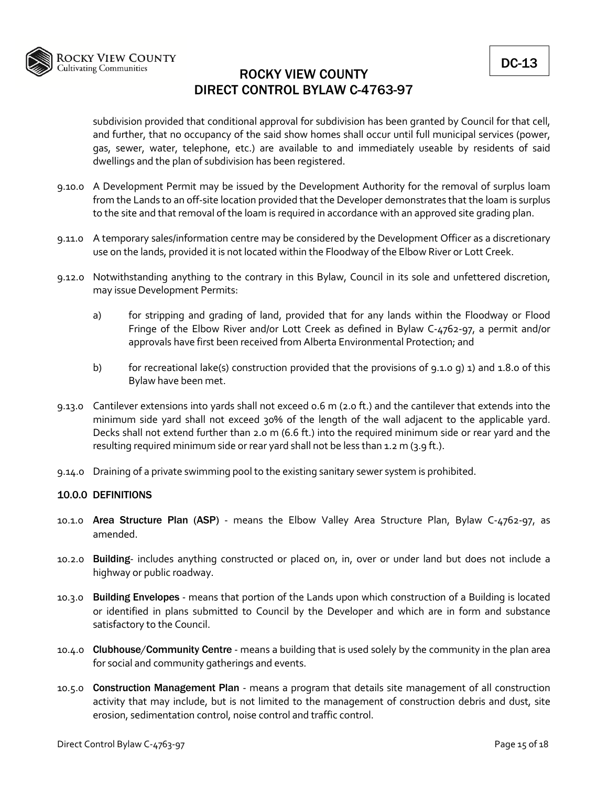

subdivision provided that conditional approval for subdivision has been granted by Council for that cell, and further, that no occupancy of the said show homes shall occur until full municipal services (power, gas, sewer, water, telephone, etc.) are available to and immediately useable by residents of said dwellings and the plan of subdivision has been registered.

- 9.10.0 A Development Permit may be issued by the Development Authority for the removal of surplus loam from the Lands to an off‐site location provided that the Developer demonstrates that the loam is surplus to the site and that removal of the loam is required in accordance with an approved site grading plan.
- 9.11.0 A temporary sales/information centre may be considered by the Development Officer as a discretionary use on the lands, provided it is not located within the Floodway of the Elbow River or Lott Creek.
- 9.12.0 Notwithstanding anything to the contrary in this Bylaw, Council in its sole and unfettered discretion, may issue Development Permits:
	- a) for stripping and grading of land, provided that for any lands within the Floodway or Flood Fringe of the Elbow River and/or Lott Creek as defined in Bylaw C‐4762‐97, a permit and/or approvals have first been received from Alberta Environmental Protection; and
	- b) for recreational lake(s) construction provided that the provisions of 9.1.0 g) 1) and 1.8.0 of this Bylaw have been met.
- 9.13.0 Cantilever extensions into yards shall not exceed 0.6 m (2.0 ft.) and the cantilever that extends into the minimum side yard shall not exceed 30% of the length of the wall adjacent to the applicable yard. Decks shall not extend further than 2.0 m (6.6 ft.) into the required minimum side or rear yard and the resulting required minimum side or rear yard shall not be less than 1.2 m (3.9 ft.).
- 9.14.0 Draining of a private swimming pool to the existing sanitary sewer system is prohibited.

## 10.0.0 DEFINITIONS

- 10.1.0 Area Structure Plan (ASP) means the Elbow Valley Area Structure Plan, Bylaw C-4762-97, as amended.
- 10.2.0 Building- includes anything constructed or placed on, in, over or under land but does not include a highway or public roadway.
- 10.3.0 Building Envelopes ‐ means that portion of the Lands upon which construction of a Building is located or identified in plans submitted to Council by the Developer and which are in form and substance satisfactory to the Council.
- 10.4.0 Clubhouse/Community Centre means a building that is used solely by the community in the plan area for social and community gatherings and events.
- 10.5.0 Construction Management Plan means a program that details site management of all construction activity that may include, but is not limited to the management of construction debris and dust, site erosion, sedimentation control, noise control and traffic control.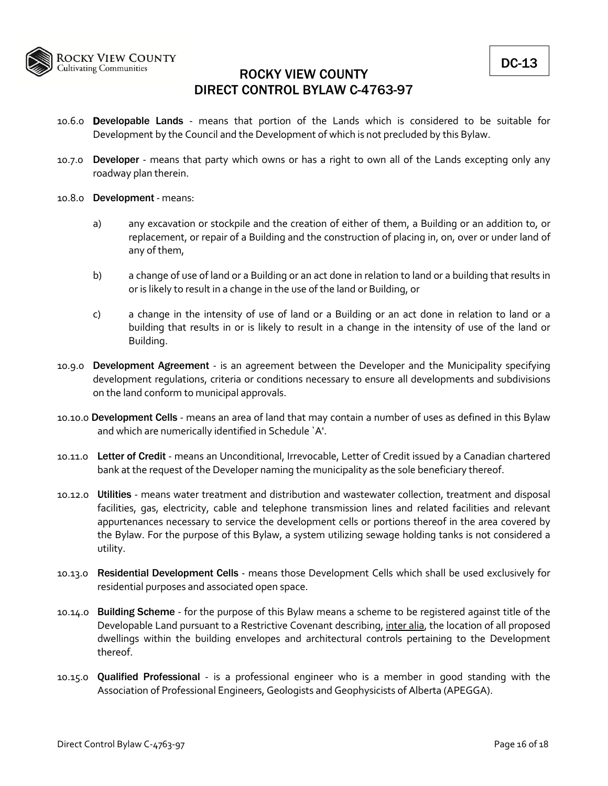

- 10.6.0 **Developable Lands** means that portion of the Lands which is considered to be suitable for Development by the Council and the Development of which is not precluded by this Bylaw.
- 10.7.0 **Developer** means that party which owns or has a right to own all of the Lands excepting only any roadway plan therein.
- 10.8.0 Development ‐ means:
	- a) any excavation or stockpile and the creation of either of them, a Building or an addition to, or replacement, or repair of a Building and the construction of placing in, on, over or under land of any of them,
	- b) a change of use of land or a Building or an act done in relation to land or a building that results in or is likely to result in a change in the use of the land or Building, or
	- c) a change in the intensity of use of land or a Building or an act done in relation to land or a building that results in or is likely to result in a change in the intensity of use of the land or Building.
- 10.9.0 Development Agreement is an agreement between the Developer and the Municipality specifying development regulations, criteria or conditions necessary to ensure all developments and subdivisions on the land conform to municipal approvals.
- 10.10.0 Development Cells means an area of land that may contain a number of uses as defined in this Bylaw and which are numerically identified in Schedule `A'.
- 10.11.0 Letter of Credit means an Unconditional, Irrevocable, Letter of Credit issued by a Canadian chartered bank at the request of the Developer naming the municipality as the sole beneficiary thereof.
- 10.12.0 Utilities means water treatment and distribution and wastewater collection, treatment and disposal facilities, gas, electricity, cable and telephone transmission lines and related facilities and relevant appurtenances necessary to service the development cells or portions thereof in the area covered by the Bylaw. For the purpose of this Bylaw, a system utilizing sewage holding tanks is not considered a utility.
- 10.13.0 Residential Development Cells means those Development Cells which shall be used exclusively for residential purposes and associated open space.
- 10.14.0 Building Scheme for the purpose of this Bylaw means a scheme to be registered against title of the Developable Land pursuant to a Restrictive Covenant describing, inter alia, the location of all proposed dwellings within the building envelopes and architectural controls pertaining to the Development thereof.
- 10.15.0 Qualified Professional is a professional engineer who is a member in good standing with the Association of Professional Engineers, Geologists and Geophysicists of Alberta (APEGGA).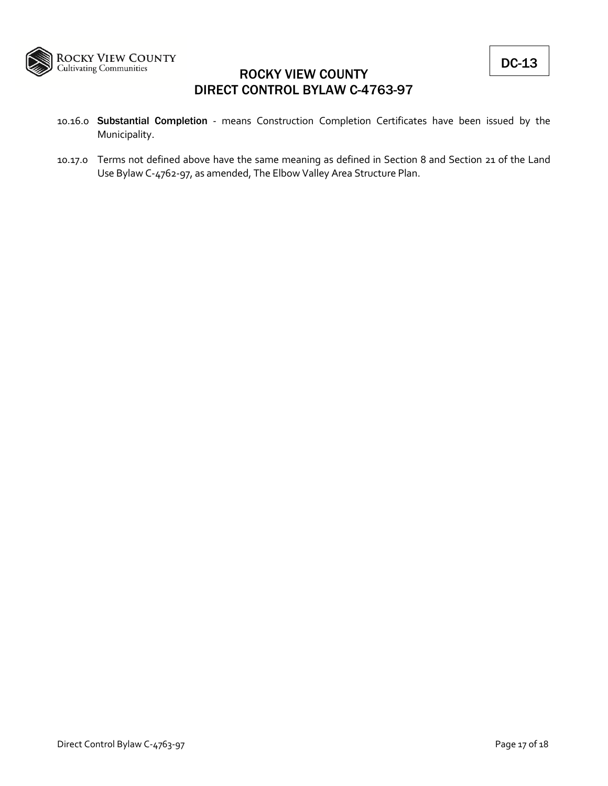

- 10.16.0 Substantial Completion ‐ means Construction Completion Certificates have been issued by the Municipality.
- 10.17.0 Terms not defined above have the same meaning as defined in Section 8 and Section 21 of the Land Use Bylaw C‐4762‐97, as amended, The Elbow Valley Area Structure Plan.